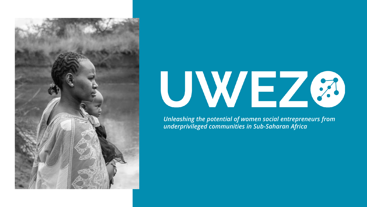



*Unleashing the potential of women social entrepreneurs from underprivileged communities in Sub-Saharan Africa*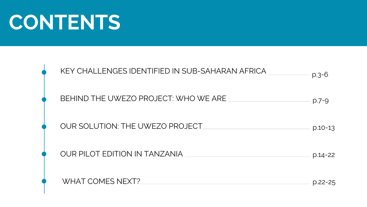### **CONTENTS**

| KEY CHALLENGES IDENTIFIED IN SUB-SAHARAN AFRICA | $p.3 - 6$   |
|-------------------------------------------------|-------------|
| BEHIND THE UWEZO PROJECT: WHO WE ARE            | $p.7 - 9$   |
| OUR SOLUTION: THE UWEZO PROJECT                 | $p.10-13$   |
| <b>OUR PILOT EDITION IN TANZANIA</b>            | $p.14 - 22$ |
| <b>WHAT COMES NEXT?</b>                         | p.22-25     |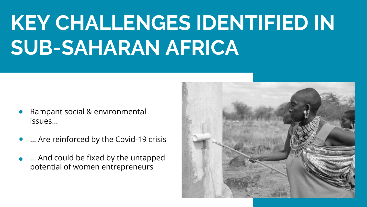# **KEY CHALLENGES IDENTIFIED IN SUB-SAHARAN AFRICA**

- Rampant social & environmental issues…
- … Are reinforced by the Covid-19 crisis
- … And could be fixed by the untapped potential of women entrepreneurs

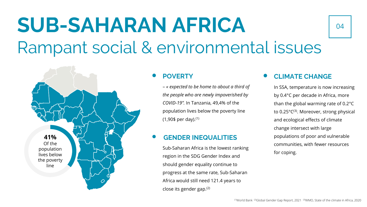# **SUB-SAHARAN AFRICA**

### Rampant social & environmental issues



### **POVERTY**

– *« expected to be home to about a third of the people who are newly impoverished by COVID-19".* In Tanzania, 49,4% of the population lives below the poverty line  $(1,90\$  per day).<sup>(1)</sup>

### **GENDER INEQUALITIES**

Sub-Saharan Africa is the lowest ranking region in the SDG Gender Index and should gender equality continue to progress at the same rate, Sub-Saharan Africa would still need 121.4 years to close its gender gap.(2)

### **CLIMATE CHANGE**

In SSA, temperature is now increasing by 0.4°C per decade in Africa, more than the global warming rate of 0.2°C to 0.25°C<sup>(3)</sup>. Moreover, strong physical and ecological effects of climate change intersect with large populations of poor and vulnerable communities, with fewer resources for coping.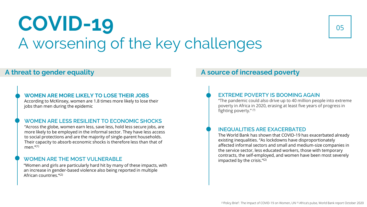### **COVID-19** A worsening of the key challenges



#### **WOMEN ARE MORE LIKELY TO LOSE THEIR JOBS**

According to McKinsey, women are 1.8 times more likely to lose their jobs than men during the epidemic

#### **WOMEN ARE LESS RESILIENT TO ECONOMIC SHOCKS**

"Across the globe, women earn less, save less, hold less secure jobs, are more likely to be employed in the informal sector. They have less access to social protections and are the majority of single-parent households. Their capacity to absorb economic shocks is therefore less than that of men. $''^{(1)}$ 

#### **WOMEN ARE THE MOST VULNERABLE**

"Women and girls are particularly hard hit by many of these impacts, with an increase in gender-based violence also being reported in multiple African countries."(2)

### **A threat to gender equality A source of increased poverty**

#### **EXTREME POVERTY IS BOOMING AGAIN**

"The pandemic could also drive up to 40 million people into extreme poverty in Africa in 2020, erasing at least five years of progress in fighting poverty." (²)

#### **INEQUALITIES ARE EXACERBATED**

The World Bank has shown that COVID-19 has exacerbated already existing inequalities. "As lockdowns have disproportionately affected informal sectors and small and medium-size companies in the service sector, less educated workers, those with temporary contracts, the self-employed, and women have been most severely impacted by the crisis."(2)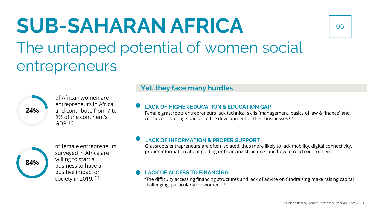### **SUB-SAHARAN AFRICA** The untapped potential of women social entrepreneurs



of African women are entrepreneurs in Africa and contribute from 7 to 9% of the continent's  $GDP<sub>(1)</sub>$ 



of female entrepreneurs surveyed in Africa are willing to start a business to have a positive impact on society in 2019. (1)

### **Yet, they face many hurdles**

#### **LACK OF HIGHER EDUCATION & EDUCATION GAP**

Female grassroots entrepreneurs lack technical skills (management, basics of law & finance) and consider it is a huge barrier to the development of their businesses.(1)

#### **LACK OF INFORMATION & PROPER SUPPORT**

Grassroots entrepreneurs are often isolated, thus more likely to lack mobility, digital connectivity, proper information about guiding or financing structures and how to reach out to them.

#### **LACK OF ACCESS TO FINANCING**

"The difficulty accessing financing structures and lack of advice on fundraising make raising capital challenging, particularly for women."(1)

06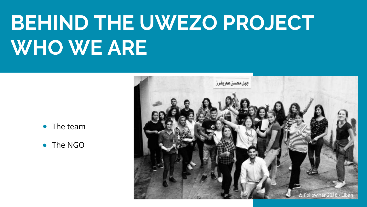# **BEHIND THE UWEZO PROJECT WHO WE ARE**



- The team
- The NGO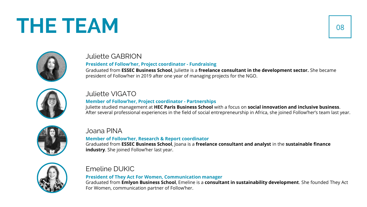### **THE TEAM**



### Juliette GABRION

#### **President of Follow'her, Project coordinator - Fundraising**

Graduated from **ESSEC Business School**, Juliette is a **freelance consultant in the development sector.** She became president of Follow'her in 2019 after one year of managing projects for the NGO.



### Juliette VIGATO

### **Member of Follow'her, Project coordinator - Partnerships**

Juliette studied management at **HEC Paris Business School** with a focus on **social innovation and inclusive business**. After several professional experiences in the field of social entrepreneurship in Africa, she joined Follow'her's team last year.



### Joana PINA

#### **Member of Follow'her, Research & Report coordinator**

Graduated from **ESSEC Business School**, Joana is a **freelance consultant and analyst** in the **sustainable finance industry**. She joined Follow'her last year.



### Emeline DUKIC

#### **President of They Act For Women, Communication manager**

Graduated from **Emlyon Business School**, Emeline is a **consultant in sustainability development**. She founded They Act For Women, communication partner of Follow'her.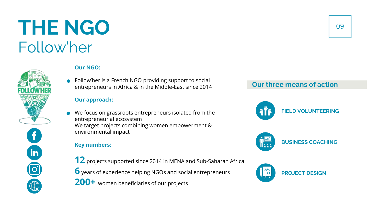### **THE NGO** Follow'her



#### **Our NGO:**

• Follow'her is a French NGO providing support to social entrepreneurs in Africa & in the Middle-East since 2014

### **Our approach:**

We focus on grassroots entrepreneurs isolated from the entrepreneurial ecosystem We target projects combining women empowerment & environmental impact

### **Key numbers:**

**12** projects supported since 2014 in MENA and Sub-Saharan Africa **6** years of experience helping NGOs and social entrepreneurs **200+** women beneficiaries of our projects

### **Our three means of action**

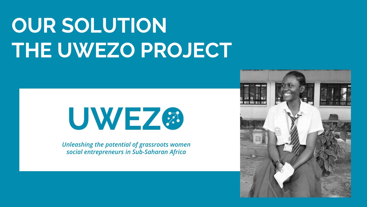# **OUR SOLUTION THE UWEZO PROJECT**



*Unleashing the potential of grassroots women social entrepreneurs in Sub-Saharan Africa*

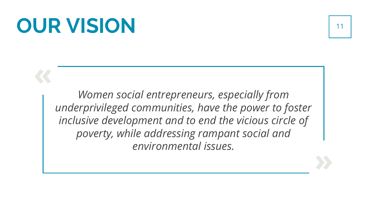### **OUR VISION** 11

**«**

**»**

*Women social entrepreneurs, especially from underprivileged communities, have the power to foster inclusive development and to end the vicious circle of poverty, while addressing rampant social and environmental issues.*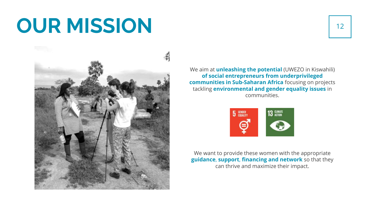### **OUR MISSION**



We aim at **unleashing the potential** (UWEZO in Kiswahili) **of social entrepreneurs from underprivileged communities in Sub-Saharan Africa** focusing on projects tackling **environmental and gender equality issues** in communities.



We want to provide these women with the appropriate **guidance**, **support**, **financing and network** so that they can thrive and maximize their impact.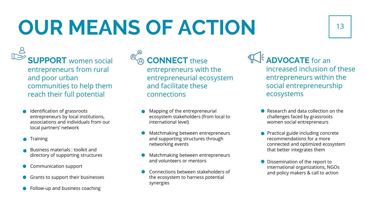# **OUR MEANS OF ACTION** 13

**SUPPORT** women social entrepreneurs from rural and poor urban communities to help them reach their full potential

- **Identification of grassroots** entrepreneurs by local institutions, associations and individuals from our local partners' network
- **Training**
- Business materials : toolkit and directory of supporting structures
- Communication support
- Grants to support their businesses
- **Follow-up and business coaching**



### **CONNECT** these

entrepreneurs with the entrepreneurial ecosystem and facilitate these connections

- Mapping of the entrepreneurial ecosystem stakeholders (from local to international level)
- Matchmaking between entrepreneurs and supporting structures through networking events
- **Matchmaking between entrepreneurs** and volunteers or mentors
- Connections between stakeholders of the ecosystem to harness potential synergies

**ADVOCATE** for an increased inclusion of these entrepreneurs within the social entrepreneurship ecosystems

- Research and data collection on the challenges faced by grassroots women social entrepreneurs
- Practical guide including concrete recommendations for a more connected and optimized ecosystem that better integrates them
- **O** Dissemination of the report to international organizations, NGOs and policy makers & call to action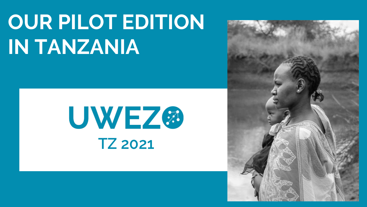# **OUR PILOT EDITION IN TANZANIA**



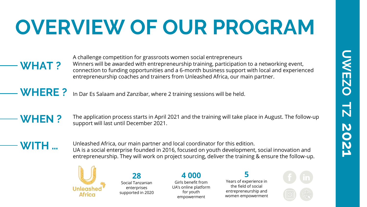## **OVERVIEW OF OUR PROGRAM**

**WHAT ?**

A challenge competition for grassroots women social entrepreneurs Winners will be awarded with entrepreneurship training, participation to a networking event, connection to funding opportunities and a 6-month business support with local and experienced entrepreneurship coaches and trainers from Unleashed Africa, our main partner.

**WHERE ?** In Dar Es Salaam and Zanzibar, where 2 training sessions will be held.

### **WHEN ?**

The application process starts in April 2021 and the training will take place in August. The follow-up support will last until December 2021.

**WITH …**

Unleashed Africa, our main partner and local coordinator for this edition. UA is a social enterprise founded in 2016, focused on youth development, social innovation and entrepreneurship. They will work on project sourcing, deliver the training & ensure the follow-up.



Social Tanzanian enterprises supported in 2020

**28** 

### **4 000**

Girls benefit from UA's online platform for youth empowerment

**5**

Years of experience in the field of social entrepreneurship and women empowerment

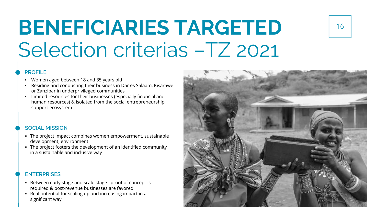### **BENEFICIARIES TARGETED** Selection criterias –TZ 2021

#### **PROFILE**

- Women aged between 18 and 35 years old
- Residing and conducting their business in Dar es Salaam, Kisarawe or Zanzibar in underprivileged communities
- Limited resources for their businesses (especially financial and human resources) & isolated from the social entrepreneurship support ecosystem

#### **SOCIAL MISSION**

- The project impact combines women empowerment, sustainable development, environment
- The project fosters the development of an identified community in a sustainable and inclusive way

#### **ENTERPRISES**

- Between early stage and scale stage : proof of concept is required & post-revenue businesses are favored
- Real potential for scaling up and increasing impact in a significant way

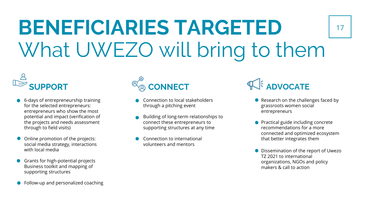## **BENEFICIARIES TARGETED** What UWEZO will bring to them



- 6-days of entrepreneurship training for the selected entrepreneurs: entrepreneurs who show the most potential and impact (verification of the projects and needs assessment through to field visits)
- Online promotion of the projects:  $\bullet$ social media strategy, interactions with local media
- Grants for high-potential projects  $\bullet$ Business toolkit and mapping of supporting structures
- Follow-up and personalized coaching  $\bullet$

- Connection to local stakeholders through a pitching event
- Building of long-term relationships to connect these entrepreneurs to supporting structures at any time
- Connection to international volunteers and mentors

**SUPPORT**  $\otimes^{\otimes}_{\otimes}$  **CONNECT**  $\otimes^{\otimes}_{\otimes}$  **CONNECT**  $\otimes^{\otimes}_{\otimes}$  **ADVOCATE** 

● Research on the challenges faced by grassroots women social entrepreneurs

17

- Practical guide including concrete recommendations for a more connected and optimized ecosystem that better integrates them
- **O** Dissemination of the report of Uwezo TZ 2021 to international organizations, NGOs and policy makers & call to action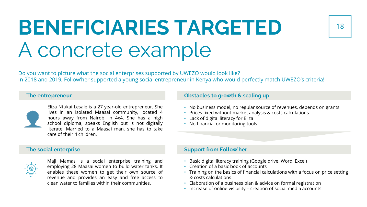### **BENEFICIARIES TARGETED** A concrete example

Do you want to picture what the social enterprises supported by UWEZO would look like? In 2018 and 2019, Follow'her supported a young social entrepreneur in Kenya who would perfectly match UWEZO's criteria!

#### **The entrepreneur**



Eliza Ntukai Lesale is a 27 year-old entrepreneur. She lives in an isolated Maasai community, located 4 hours away from Nairobi in 4x4. She has a high school diploma, speaks English but is not digitally literate. Married to a Maasai man, she has to take care of their 4 children.

#### **The social enterprise**



Maji Mamas is a social enterprise training and employing 28 Maasai women to build water tanks. It enables these women to get their own source of revenue and provides an easy and free access to clean water to families within their communities.

#### **Obstacles to growth & scaling up**

- No business model, no regular source of revenues, depends on grants
- Prices fixed without market analysis & costs calculations
- Lack of digital literacy for Eliza
- No financial or monitoring tools

#### **Support from Follow'her**

- Basic digital literacy training (Google drive, Word, Excel)
- Creation of a basic book of accounts
- Training on the basics of financial calculations with a focus on price setting & costs calculations
- Elaboration of a business plan & advice on formal registration
- Increase of online visibility creation of social media accounts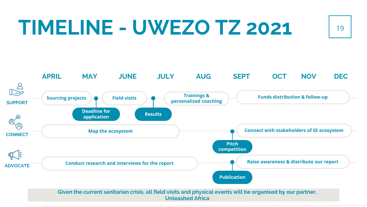### **TIMELINE - UWEZO TZ 2021** <sup>19</sup>

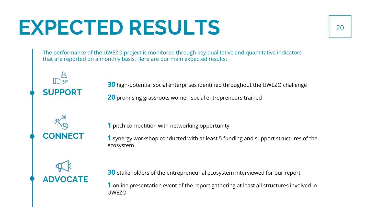## **EXPECTED RESULTS** <sup>20</sup>

The performance of the UWEZO project is monitored through key qualitative and quantitative indicators that are reported on a monthly basis. Here are our main expected results:

**30** high-potential social enterprises identified throughout the UWEZO challenge

**20** promising grassroots women social entrepreneurs trained

**1** pitch competition with networking opportunity

**1** synergy workshop conducted with at least 5 funding and support structures of the ecosystem

**ADVOCATE**

**CONNECT**

**SUPPORT**

**30** stakeholders of the entrepreneurial ecosystem interviewed for our report

**1** online presentation event of the report gathering at least all structures involved in UWEZO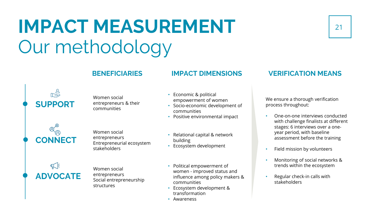### **IMPACT MEASUREMENT** Our methodology

#### Women social entrepreneurs & their communities

- Economic & political empowerment of women
- Socio-economic development of communities
- Positive environmental impact



**SUPPORT**

Women social entrepreneurs Entrepreneurial ecosystem stakeholders



Women social entrepreneurs Social entrepreneurship structures

• Relational capital & network building

- Ecosystem development
- Political empowerment of women - improved status and influence among policy makers & communities
- Ecosystem development & transformation
- Awareness

### **BENEFICIARIES IMPACT DIMENSIONS VERIFICATION MEANS**

We ensure a thorough verification process throughout:

- One-on-one interviews conducted with challenge finalists at different stages: 6 interviews over a oneyear period, with baseline assessment before the training
- Field mission by volunteers
- Monitoring of social networks & trends within the ecosystem
- Regular check-in calls with stakeholders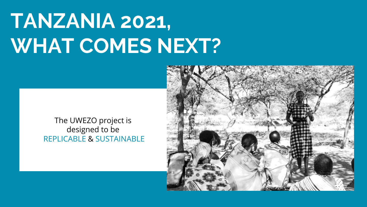# **TANZANIA 2021, WHAT COMES NEXT?**



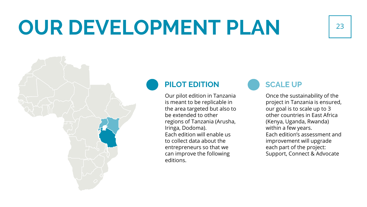## **OUR DEVELOPMENT PLAN** 23

### **PILOT EDITION**

Our pilot edition in Tanzania is meant to be replicable in the area targeted but also to be extended to other regions of Tanzania (Arusha, Iringa, Dodoma). Each edition will enable us to collect data about the entrepreneurs so that we can improve the following editions.

### **SCALE UP**

Once the sustainability of the project in Tanzania is ensured, our goal is to scale up to 3 other countries in East Africa (Kenya, Uganda, Rwanda) within a few years. Each edition's assessment and improvement will upgrade each part of the project: Support, Connect & Advocate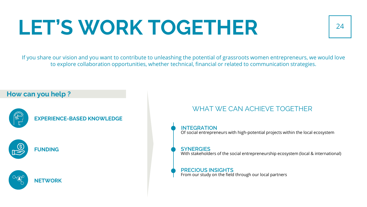# LET'S WORK TOGETHER 124

If you share our vision and you want to contribute to unleashing the potential of grassroots women entrepreneurs, we would love to explore collaboration opportunities, whether technical, financial or related to communication strategies.